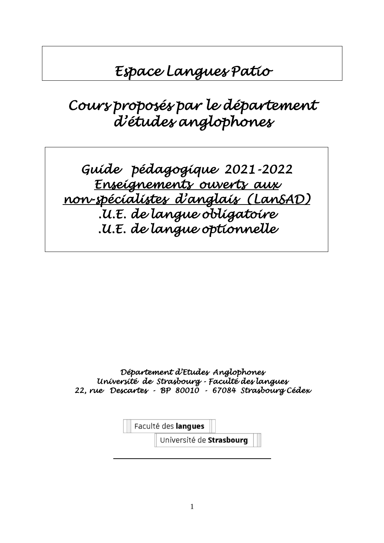# *Espace Langues Patio*

# *Cours proposés par le département d'études anglophones*

*Guide pédagogique 2021-2022 Enseignements ouverts aux non-spécialistes d'anglais (LanSAD) .U.E. de langue obligatoire .U.E. de langue optionnelle* 

*Département d'Etudes Anglophones Université de Strasbourg - Faculté des langues 22, rue Descartes - BP 80010 - 67084 Strasbourg Cédex* 

Faculté des langues

Université de Strasbourg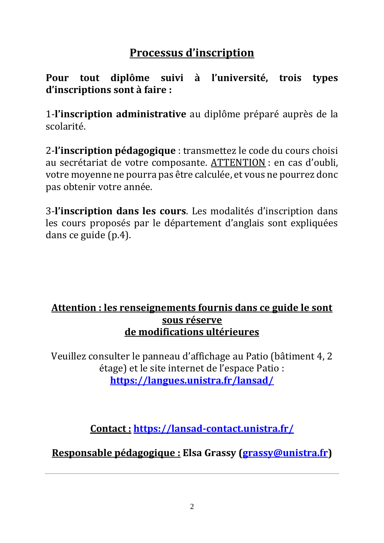# **Processus d'inscription**

**Pour tout diplôme suivi à l'université, trois types d'inscriptions sont à faire :**

1-**l'inscription administrative** au diplôme préparé auprès de la scolarité.

2-**l'inscription pédagogique** : transmettez le code du cours choisi au secrétariat de votre composante. ATTENTION : en cas d'oubli, votre moyenne ne pourra pas être calculée, et vous ne pourrez donc pas obtenir votre année.

3-**l'inscription dans les cours**. Les modalités d'inscription dans les cours proposés par le département d'anglais sont expliquées dans ce guide (p.4).

# **Attention : les renseignements fournis dans ce guide le sont sous réserve de modifications ultérieures**

Veuillez consulter le panneau d'affichage au Patio (bâtiment 4, 2 étage) et le site internet de l'espace Patio : **<https://langues.unistra.fr/lansad/>**

**Contact : <https://lansad-contact.unistra.fr/>**

**Responsable pédagogique : Elsa Grassy [\(grassy@unistra.fr\)](mailto:grassy@unistra.fr)**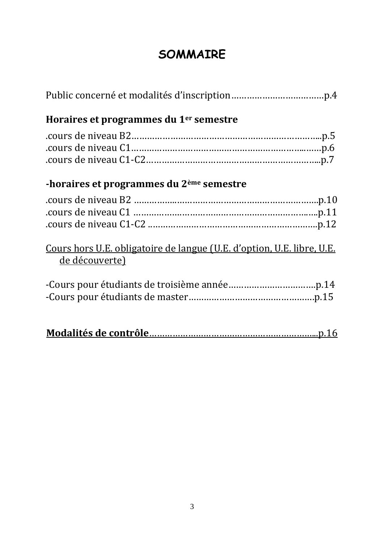# **SOMMAIRE**

| Horaires et programmes du 1 <sup>er</sup> semestre                                              |
|-------------------------------------------------------------------------------------------------|
|                                                                                                 |
| -horaires et programmes du 2 <sup>ème</sup> semestre                                            |
|                                                                                                 |
| <u>Cours hors U.E. obligatoire de langue (U.E. d'option, U.E. libre, U.E.</u><br>de découverte) |
|                                                                                                 |
|                                                                                                 |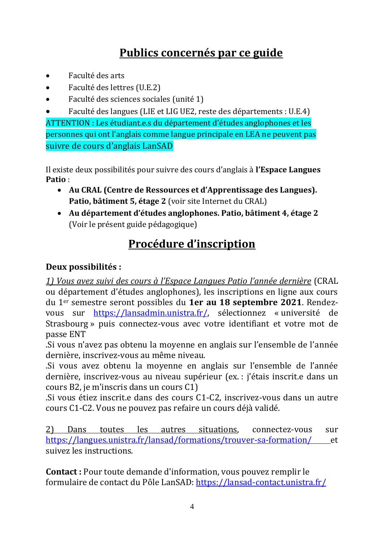# **Publics concernés par ce guide**

- Faculté des arts
- Faculté des lettres (U.E.2)
- Faculté des sciences sociales (unité 1)
- Faculté des langues (LIE et LIG UE2, reste des départements : U.E.4)

ATTENTION : Les étudiant.e.s du département d'études anglophones et les personnes qui ont l'anglais comme langue principale en LEA ne peuvent pas suivre de cours d'anglais LanSAD

Il existe deux possibilités pour suivre des cours d'anglais à **l'Espace Langues Patio** :

- **Au CRAL (Centre de Ressources et d'Apprentissage des Langues). Patio, bâtiment 5, étage 2** (voir site Internet du CRAL)
- **Au département d'études anglophones. Patio, bâtiment 4, étage 2**  (Voir le présent guide pédagogique)

# **Procédure d'inscription**

## **Deux possibilités :**

*1) Vous avez suivi des cours à l'Espace Langues Patio l'année dernière* (CRAL ou département d'études anglophones), les inscriptions en ligne aux cours du 1er semestre seront possibles du **1er au 18 septembre 2021**. Rendezvous sur [https://lansadmin.unistra.fr/,](https://lansadmin.unistra.fr/) sélectionnez « université de Strasbourg » puis connectez-vous avec votre identifiant et votre mot de passe ENT

.Si vous n'avez pas obtenu la moyenne en anglais sur l'ensemble de l'année dernière, inscrivez-vous au même niveau.

.Si vous avez obtenu la moyenne en anglais sur l'ensemble de l'année dernière, inscrivez-vous au niveau supérieur (ex. : j'étais inscrit.e dans un cours B2, je m'inscris dans un cours C1)

.Si vous étiez inscrit.e dans des cours C1-C2, inscrivez-vous dans un autre cours C1-C2. Vous ne pouvez pas refaire un cours déjà validé.

2) Dans toutes les autres situations, connectez-vous sur [https://langues.unistra.fr/lansad/formations/trouver-sa-formation/ e](https://www.unistra.fr/index.php?id=25190)t suivez les instructions.

**Contact :** Pour toute demande d'information, vous pouvez remplir le formulaire de contact du Pôle LanSAD: <https://lansad-contact.unistra.fr/>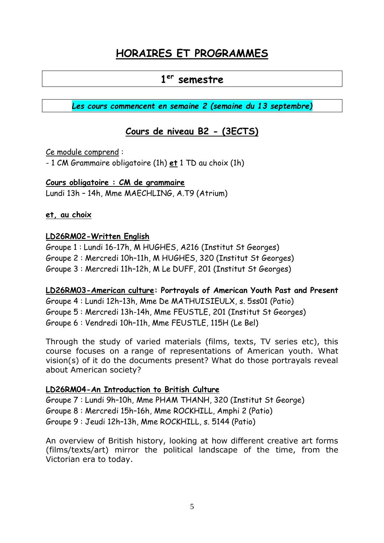# **HORAIRES ET PROGRAMMES**

# **1 er semestre**

*Les cours commencent en semaine 2 (semaine du 13 septembre)*

## **Cours de niveau B2 - (3ECTS)**

#### Ce module comprend :

- 1 CM Grammaire obligatoire (1h) **et** 1 TD au choix (1h)

#### **Cours obligatoire : CM de grammaire**

Lundi 13h – 14h, Mme MAECHLING, A.T9 (Atrium)

#### **et, au choix**

#### **LD26RM02-Written English**

Groupe 1 : Lundi 16-17h, M HUGHES, A216 (Institut St Georges) Groupe 2 : Mercredi 10h–11h, M HUGHES, 320 (Institut St Georges) Groupe 3 : Mercredi 11h–12h, M Le DUFF, 201 (Institut St Georges)

# **LD26RM03-American culture: Portrayals of American Youth Past and Present** Groupe 4 : Lundi 12h–13h, Mme De MATHUISIEULX, s. 5ss01 (Patio)

Groupe 5 : Mercredi 13h-14h, Mme FEUSTLE, 201 (Institut St Georges) Groupe 6 : Vendredi 10h–11h, Mme FEUSTLE, 115H (Le Bel)

Through the study of varied materials (films, texts, TV series etc), this course focuses on a range of representations of American youth. What vision(s) of it do the documents present? What do those portrayals reveal about American society?

#### **LD26RM04-An Introduction to British Culture**

Groupe 7 : Lundi 9h–10h, Mme PHAM THANH, 320 (Institut St George) Groupe 8 : Mercredi 15h–16h, Mme ROCKHILL, Amphi 2 (Patio) Groupe 9 : Jeudi 12h–13h, Mme ROCKHILL, s. 5144 (Patio)

An overview of British history, looking at how different creative art forms (films/texts/art) mirror the political landscape of the time, from the Victorian era to today.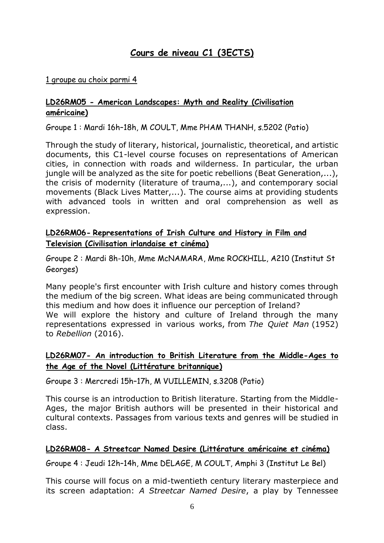# **Cours de niveau C1 (3ECTS)**

#### 1 groupe au choix parmi 4

#### **LD26RM05 - American Landscapes: Myth and Reality (Civilisation américaine)**

Groupe 1 : Mardi 16h–18h, M COULT, Mme PHAM THANH, s.5202 (Patio)

Through the study of literary, historical, journalistic, theoretical, and artistic documents, this C1-level course focuses on representations of American cities, in connection with roads and wilderness. In particular, the urban jungle will be analyzed as the site for poetic rebellions (Beat Generation,...), the crisis of modernity (literature of trauma,...), and contemporary social movements (Black Lives Matter,...). The course aims at providing students with advanced tools in written and oral comprehension as well as expression.

#### **LD26RM06- Representations of Irish Culture and History in Film and Television (Civilisation irlandaise et cinéma)**

Groupe 2 : Mardi 8h-10h, Mme McNAMARA, Mme ROCKHILL, A210 (Institut St Georges)

Many people's first encounter with Irish culture and history comes through the medium of the big screen. What ideas are being communicated through this medium and how does it influence our perception of Ireland? We will explore the history and culture of Ireland through the many representations expressed in various works, from *The Quiet Man* (1952) to *Rebellion* (2016).

#### **LD26RM07- An introduction to British Literature from the Middle-Ages to the Age of the Novel (Littérature britannique)**

Groupe 3 : Mercredi 15h–17h, M VUILLEMIN, s.3208 (Patio)

This course is an introduction to British literature. Starting from the Middle-Ages, the major British authors will be presented in their historical and cultural contexts. Passages from various texts and genres will be studied in class.

#### **LD26RM08- A Streetcar Named Desire (Littérature américaine et cinéma)**

Groupe 4 : Jeudi 12h–14h, Mme DELAGE, M COULT, Amphi 3 (Institut Le Bel)

This course will focus on a mid-twentieth century literary masterpiece and its screen adaptation: *A Streetcar Named Desire*, a play by Tennessee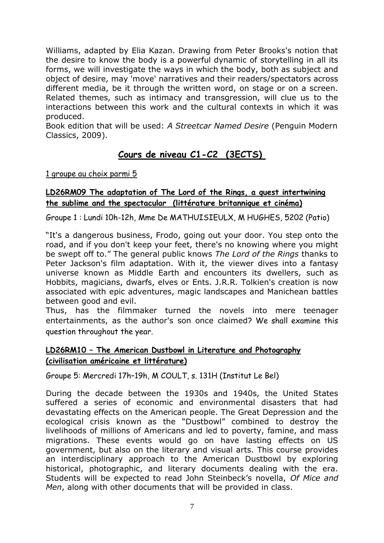Williams, adapted by Elia Kazan. Drawing from Peter Brooks's notion that the desire to know the body is a powerful dynamic of storytelling in all its forms, we will investigate the ways in which the body, both as subject and object of desire, may 'move' narratives and their readers/spectators across different media, be it through the written word, on stage or on a screen. Related themes, such as intimacy and transgression, will clue us to the interactions between this work and the cultural contexts in which it was produced.

Book edition that will be used: *A Streetcar Named Desire* (Penguin Modern Classics, 2009).

# **Cours de niveau C1-C2 (3ECTS)**

1 groupe au choix parmi 5

#### **LD26RM09 The adaptation of The Lord of the Rings, a quest intertwining the sublime and the spectacular (littérature britannique et cinéma)**

Groupe 1 : Lundi 10h-12h, Mme De MATHUISIEULX, M HUGHES, 5202 (Patio)

"It's a dangerous business, Frodo, going out your door. You step onto the road, and if you don't keep your feet, there's no knowing where you might be swept off to." The general public knows *The Lord of the Rings* thanks to Peter Jackson's film adaptation. With it, the viewer dives into a fantasy universe known as Middle Earth and encounters its dwellers, such as Hobbits, magicians, dwarfs, elves or Ents. J.R.R. Tolkien's creation is now associated with epic adventures, magic landscapes and Manichean battles between good and evil.

Thus, has the filmmaker turned the novels into mere teenager entertainments, as the author's son once claimed? We shall examine this question throughout the year.

#### **LD26RM10 – The American Dustbowl in Literature and Photography (civilisation américaine et littérature)**

Groupe 5: Mercredi 17h–19h, M COULT, s. 131H (Institut Le Bel)

During the decade between the 1930s and 1940s, the United States suffered a series of economic and environmental disasters that had devastating effects on the American people. The Great Depression and the ecological crisis known as the "Dustbowl" combined to destroy the livelihoods of millions of Americans and led to poverty, famine, and mass migrations. These events would go on have lasting effects on US government, but also on the literary and visual arts. This course provides an interdisciplinary approach to the American Dustbowl by exploring historical, photographic, and literary documents dealing with the era. Students will be expected to read John Steinbeck's novella, *Of Mice and Men*, along with other documents that will be provided in class.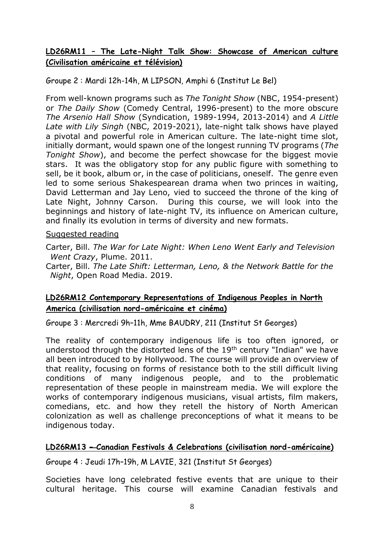#### **LD26RM11 – The Late-Night Talk Show: Showcase of American culture (Civilisation américaine et télévision)**

Groupe 2 : Mardi 12h-14h, M LIPSON, Amphi 6 (Institut Le Bel)

From well-known programs such as *The Tonight Show* (NBC, 1954-present) or *The Daily Show* (Comedy Central, 1996-present) to the more obscure *The Arsenio Hall Show* (Syndication, 1989-1994, 2013-2014) and *A Little Late with Lily Singh* (NBC, 2019-2021), late-night talk shows have played a pivotal and powerful role in American culture. The late-night time slot, initially dormant, would spawn one of the longest running TV programs (*The Tonight Show*), and become the perfect showcase for the biggest movie stars. It was the obligatory stop for any public figure with something to sell, be it book, album or, in the case of politicians, oneself. The genre even led to some serious Shakespearean drama when two princes in waiting, David Letterman and Jay Leno, vied to succeed the throne of the king of Late Night, Johnny Carson. During this course, we will look into the beginnings and history of late-night TV, its influence on American culture, and finally its evolution in terms of diversity and new formats.

#### Suggested reading

Carter, Bill. *The War for Late Night: When Leno Went Early and Television Went Crazy*, Plume. 2011.

Carter, Bill. *The Late Shift: Letterman, Leno, & the Network Battle for the Night*, Open Road Media. 2019.

#### **LD26RM12 Contemporary Representations of Indigenous Peoples in North America (civilisation nord-américaine et cinéma)**

Groupe 3 : Mercredi 9h–11h, Mme BAUDRY, 211 (Institut St Georges)

The reality of contemporary indigenous life is too often ignored, or understood through the distorted lens of the 19<sup>th</sup> century "Indian" we have all been introduced to by Hollywood. The course will provide an overview of that reality, focusing on forms of resistance both to the still difficult living conditions of many indigenous people, and to the problematic representation of these people in mainstream media. We will explore the works of contemporary indigenous musicians, visual artists, film makers, comedians, etc. and how they retell the history of North American colonization as well as challenge preconceptions of what it means to be indigenous today.

#### **LD26RM13 – Canadian Festivals & Celebrations (civilisation nord-américaine)**

Groupe 4 : Jeudi 17h–19h, M LAVIE, 321 (Institut St Georges)

Societies have long celebrated festive events that are unique to their cultural heritage. This course will examine Canadian festivals and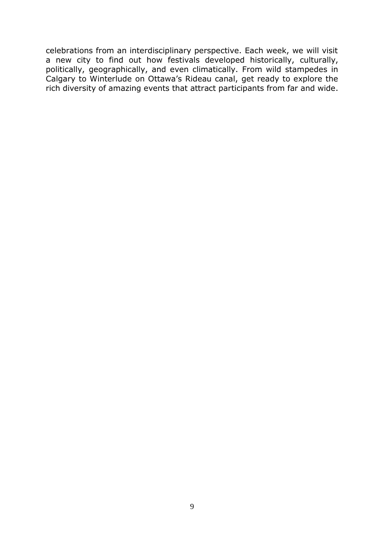celebrations from an interdisciplinary perspective. Each week, we will visit a new city to find out how festivals developed historically, culturally, politically, geographically, and even climatically. From wild stampedes in Calgary to Winterlude on Ottawa's Rideau canal, get ready to explore the rich diversity of amazing events that attract participants from far and wide.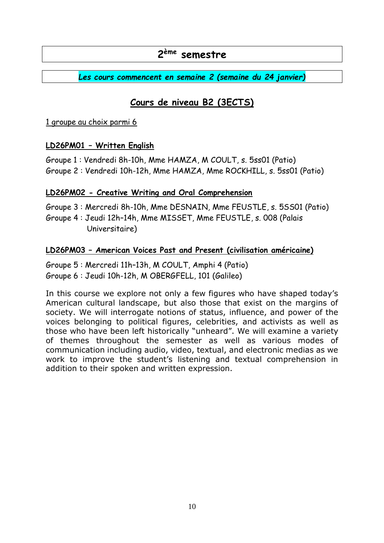# **2 ème semestre**

*Les cours commencent en semaine 2 (semaine du 24 janvier)*

## **Cours de niveau B2 (3ECTS)**

1 groupe au choix parmi 6

#### **LD26PM01 – Written English**

Groupe 1 : Vendredi 8h-10h, Mme HAMZA, M COULT, s. 5ss01 (Patio) Groupe 2 : Vendredi 10h-12h, Mme HAMZA, Mme ROCKHILL, s. 5ss01 (Patio)

#### **LD26PM02 - Creative Writing and Oral Comprehension**

Groupe 3 : Mercredi 8h-10h, Mme DESNAIN, Mme FEUSTLE, s. 5SS01 (Patio) Groupe 4 : Jeudi 12h–14h, Mme MISSET, Mme FEUSTLE, s. 008 (Palais Universitaire)

#### **LD26PM03 – American Voices Past and Present (civilisation américaine)**

Groupe 5 : Mercredi 11h–13h, M COULT, Amphi 4 (Patio) Groupe 6 : Jeudi 10h-12h, M OBERGFELL, 101 (Galileo)

In this course we explore not only a few figures who have shaped today's American cultural landscape, but also those that exist on the margins of society. We will interrogate notions of status, influence, and power of the voices belonging to political figures, celebrities, and activists as well as those who have been left historically "unheard". We will examine a variety of themes throughout the semester as well as various modes of communication including audio, video, textual, and electronic medias as we work to improve the student's listening and textual comprehension in addition to their spoken and written expression.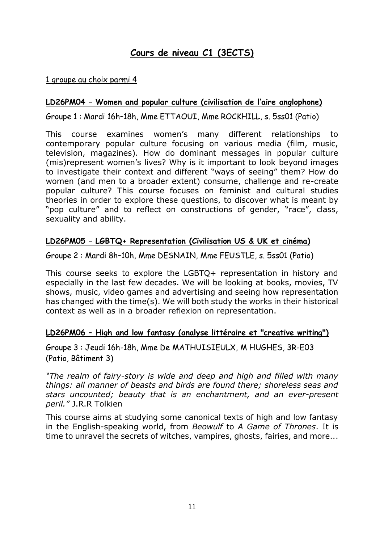## **Cours de niveau C1 (3ECTS)**

#### 1 groupe au choix parmi 4

#### **LD26PM04 – Women and popular culture (civilisation de l'aire anglophone)**

Groupe 1 : Mardi 16h–18h, Mme ETTAOUI, Mme ROCKHILL, s. 5ss01 (Patio)

This course examines women's many different relationships to contemporary popular culture focusing on various media (film, music, television, magazines). How do dominant messages in popular culture (mis)represent women's lives? Why is it important to look beyond images to investigate their context and different "ways of seeing" them? How do women (and men to a broader extent) consume, challenge and re-create popular culture? This course focuses on feminist and cultural studies theories in order to explore these questions, to discover what is meant by "pop culture" and to reflect on constructions of gender, "race", class, sexuality and ability.

#### **LD26PM05 – LGBTQ+ Representation (Civilisation US & UK et cinéma)**

Groupe 2 : Mardi 8h–10h, Mme DESNAIN, Mme FEUSTLE, s. 5ss01 (Patio)

This course seeks to explore the LGBTQ+ representation in history and especially in the last few decades. We will be looking at books, movies, TV shows, music, video games and advertising and seeing how representation has changed with the time(s). We will both study the works in their historical context as well as in a broader reflexion on representation.

#### **LD26PM06 – High and low fantasy (analyse littéraire et "creative writing")**

Groupe 3 : Jeudi 16h-18h, Mme De MATHUISIEULX, M HUGHES, 3R-E03 (Patio, Bâtiment 3)

*"The realm of fairy-story is wide and deep and high and filled with many things: all manner of beasts and birds are found there; shoreless seas and stars uncounted; beauty that is an enchantment, and an ever-present peril."* J.R.R Tolkien

This course aims at studying some canonical texts of high and low fantasy in the English-speaking world, from *Beowulf* to *A Game of Thrones*. It is time to unravel the secrets of witches, vampires, ghosts, fairies, and more...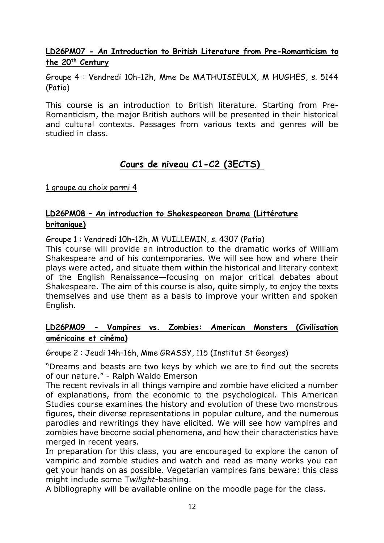**LD26PM07 - An Introduction to British Literature from Pre-Romanticism to the 20th Century**

Groupe 4 : Vendredi 10h–12h, Mme De MATHUISIEULX, M HUGHES, s. 5144 (Patio)

This course is an introduction to British literature. Starting from Pre-Romanticism, the major British authors will be presented in their historical and cultural contexts. Passages from various texts and genres will be studied in class.

## **Cours de niveau C1-C2 (3ECTS)**

1 groupe au choix parmi 4

### **LD26PM08 – An introduction to Shakespearean Drama (Littérature britanique)**

Groupe 1 : Vendredi 10h–12h, M VUILLEMIN, s. 4307 (Patio)

This course will provide an introduction to the dramatic works of William Shakespeare and of his contemporaries. We will see how and where their plays were acted, and situate them within the historical and literary context of the English Renaissance—focusing on major critical debates about Shakespeare. The aim of this course is also, quite simply, to enjoy the texts themselves and use them as a basis to improve your written and spoken English.

#### **LD26PM09 - Vampires vs. Zombies: American Monsters (Civilisation américaine et cinéma)**

Groupe 2 : Jeudi 14h–16h, Mme GRASSY, 115 (Institut St Georges)

"Dreams and beasts are two keys by which we are to find out the secrets of our nature." - Ralph Waldo Emerson

The recent revivals in all things vampire and zombie have elicited a number of explanations, from the economic to the psychological. This American Studies course examines the history and evolution of these two monstrous figures, their diverse representations in popular culture, and the numerous parodies and rewritings they have elicited. We will see how vampires and zombies have become social phenomena, and how their characteristics have merged in recent years.

In preparation for this class, you are encouraged to explore the canon of vampiric and zombie studies and watch and read as many works you can get your hands on as possible. Vegetarian vampires fans beware: this class might include some T*wilight*-bashing.

A bibliography will be available online on the moodle page for the class.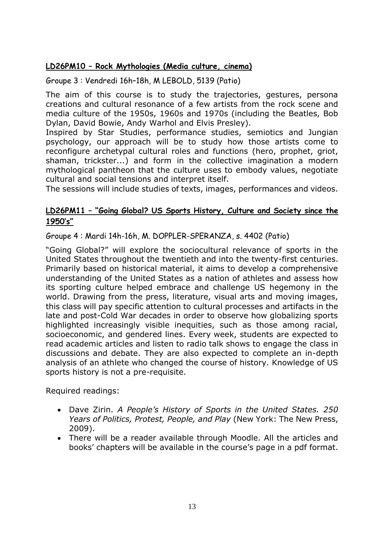#### **LD26PM10 – Rock Mythologies (Media culture, cinema)**

Groupe 3 : Vendredi 16h–18h, M LEBOLD, 5139 (Patio)

The aim of this course is to study the trajectories, gestures, persona creations and cultural resonance of a few artists from the rock scene and media culture of the 1950s, 1960s and 1970s (including the Beatles, Bob Dylan, David Bowie, Andy Warhol and Elvis Presley).

Inspired by Star Studies, performance studies, semiotics and Jungian psychology, our approach will be to study how those artists come to reconfigure archetypal cultural roles and functions (hero, prophet, griot, shaman, trickster...) and form in the collective imagination a modern mythological pantheon that the culture uses to embody values, negotiate cultural and social tensions and interpret itself.

The sessions will include studies of texts, images, performances and videos.

#### **LD26PM11 – "Going Global? US Sports History, Culture and Society since the 1950's"**

Groupe 4 : Mardi 14h-16h, M. DOPPLER-SPERANZA, s. 4402 (Patio)

"Going Global?" will explore the sociocultural relevance of sports in the United States throughout the twentieth and into the twenty-first centuries. Primarily based on historical material, it aims to develop a comprehensive understanding of the United States as a nation of athletes and assess how its sporting culture helped embrace and challenge US hegemony in the world. Drawing from the press, literature, visual arts and moving images, this class will pay specific attention to cultural processes and artifacts in the late and post-Cold War decades in order to observe how globalizing sports highlighted increasingly visible inequities, such as those among racial, socioeconomic, and gendered lines. Every week, students are expected to read academic articles and listen to radio talk shows to engage the class in discussions and debate. They are also expected to complete an in-depth analysis of an athlete who changed the course of history. Knowledge of US sports history is not a pre-requisite.

Required readings:

- Dave Zirin. *A People's History of Sports in the United States. 250 Years of Politics, Protest, People, and Play* (New York: The New Press, 2009).
- There will be a reader available through Moodle. All the articles and books' chapters will be available in the course's page in a pdf format.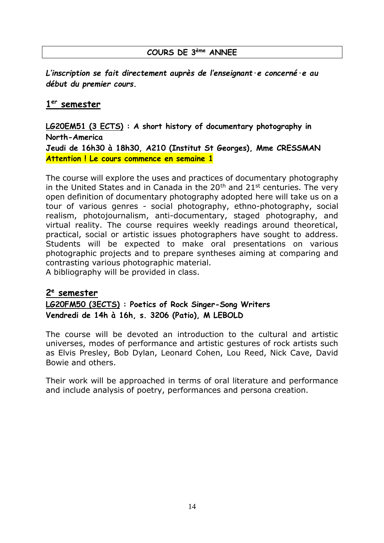#### **COURS DE 3ème ANNEE**

*L'inscription se fait directement auprès de l'enseignant·e concerné·e au début du premier cours.*

#### **1 er semester**

**LG20EM51 (3 ECTS) : A short history of documentary photography in North-America Jeudi de 16h30 à 18h30, A210 (Institut St Georges), Mme CRESSMAN Attention ! Le cours commence en semaine 1**

The course will explore the uses and practices of documentary photography in the United States and in Canada in the  $20<sup>th</sup>$  and  $21<sup>st</sup>$  centuries. The very open definition of documentary photography adopted here will take us on a tour of various genres - social photography, ethno-photography, social realism, photojournalism, anti-documentary, staged photography, and virtual reality. The course requires weekly readings around theoretical, practical, social or artistic issues photographers have sought to address. Students will be expected to make oral presentations on various photographic projects and to prepare syntheses aiming at comparing and contrasting various photographic material. A bibliography will be provided in class.

**2 e semester LG20FM50 (3ECTS) : Poetics of Rock Singer-Song Writers**

**Vendredi de 14h à 16h, s. 3206 (Patio), M LEBOLD**

The course will be devoted an introduction to the cultural and artistic universes, modes of performance and artistic gestures of rock artists such as Elvis Presley, Bob Dylan, Leonard Cohen, Lou Reed, Nick Cave, David Bowie and others.

Their work will be approached in terms of oral literature and performance and include analysis of poetry, performances and persona creation.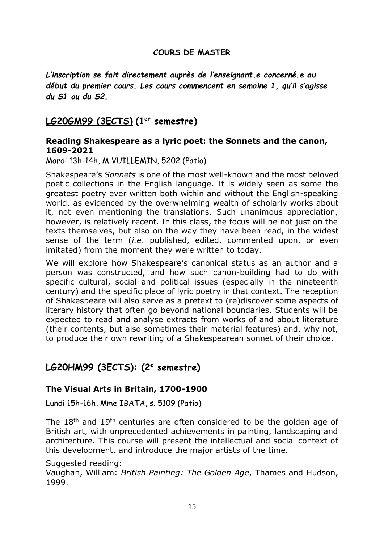*L'inscription se fait directement auprès de l'enseignant.e concerné.e au début du premier cours. Les cours commencent en semaine 1, qu'il s'agisse du S1 ou du S2.*

## **LG20GM99 (3ECTS) (1er semestre)**

#### **Reading Shakespeare as a lyric poet: the Sonnets and the canon, 1609-2021**

Mardi 13h-14h, M VUILLEMIN, 5202 (Patio)

Shakespeare's *Sonnets* is one of the most well-known and the most beloved poetic collections in the English language. It is widely seen as some the greatest poetry ever written both within and without the English-speaking world, as evidenced by the overwhelming wealth of scholarly works about it, not even mentioning the translations. Such unanimous appreciation, however, is relatively recent. In this class, the focus will be not just on the texts themselves, but also on the way they have been read, in the widest sense of the term (*i.e*. published, edited, commented upon, or even imitated) from the moment they were written to today.

We will explore how Shakespeare's canonical status as an author and a person was constructed, and how such canon-building had to do with specific cultural, social and political issues (especially in the nineteenth century) and the specific place of lyric poetry in that context. The reception of Shakespeare will also serve as a pretext to (re)discover some aspects of literary history that often go beyond national boundaries. Students will be expected to read and analyse extracts from works of and about literature (their contents, but also sometimes their material features) and, why not, to produce their own rewriting of a Shakespearean sonnet of their choice.

# **LG20HM99 (3ECTS): (2<sup>e</sup> semestre)**

### **The Visual Arts in Britain, 1700-1900**

Lundi 15h-16h, Mme IBATA, s. 5109 (Patio)

The 18<sup>th</sup> and 19<sup>th</sup> centuries are often considered to be the golden age of British art, with unprecedented achievements in painting, landscaping and architecture. This course will present the intellectual and social context of this development, and introduce the major artists of the time.

#### Suggested reading:

Vaughan, William: *British Painting: The Golden Age*, Thames and Hudson, 1999.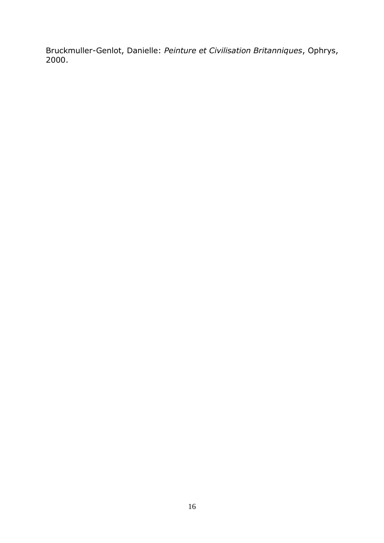Bruckmuller-Genlot, Danielle: *Peinture et Civilisation Britanniques*, Ophrys, 2000.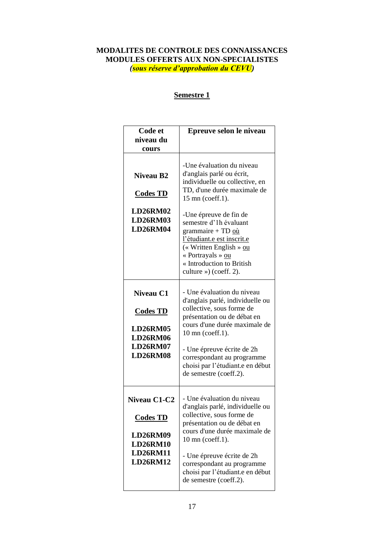#### **MODALITES DE CONTROLE DES CONNAISSANCES MODULES OFFERTS AUX NON-SPECIALISTES** *(sous réserve d'approbation du CEVU)*

#### **Semestre 1**

| Code et                                                                                                     | Epreuve selon le niveau                                                                                                                                                                                                                                                                                                                                   |
|-------------------------------------------------------------------------------------------------------------|-----------------------------------------------------------------------------------------------------------------------------------------------------------------------------------------------------------------------------------------------------------------------------------------------------------------------------------------------------------|
| niveau du                                                                                                   |                                                                                                                                                                                                                                                                                                                                                           |
| cours                                                                                                       |                                                                                                                                                                                                                                                                                                                                                           |
| <b>Niveau B2</b><br><b>Codes TD</b><br><b>LD26RM02</b><br><b>LD26RM03</b><br><b>LD26RM04</b>                | -Une évaluation du niveau<br>d'anglais parlé ou écrit,<br>individuelle ou collective, en<br>TD, d'une durée maximale de<br>15 mn (coeff.1).<br>-Une épreuve de fin de<br>semestre d'1h évaluant<br>grammaire + TD où<br>l'étudiant.e est inscrit.e<br>(« Written English » ou<br>« Portrayals » ou<br>« Introduction to British<br>culture ») (coeff. 2). |
| Niveau C1<br><b>Codes TD</b><br><b>LD26RM05</b><br><b>LD26RM06</b><br><b>LD26RM07</b><br><b>LD26RM08</b>    | - Une évaluation du niveau<br>d'anglais parlé, individuelle ou<br>collective, sous forme de<br>présentation ou de débat en<br>cours d'une durée maximale de<br>10 mn (coeff.1).<br>- Une épreuve écrite de 2h<br>correspondant au programme<br>choisi par l'étudiant.e en début<br>de semestre (coeff.2).                                                 |
| Niveau C1-C2<br><b>Codes TD</b><br><b>LD26RM09</b><br><b>LD26RM10</b><br><b>LD26RM11</b><br><b>LD26RM12</b> | - Une évaluation du niveau<br>d'anglais parlé, individuelle ou<br>collective, sous forme de<br>présentation ou de débat en<br>cours d'une durée maximale de<br>10 mn (coeff.1).<br>- Une épreuve écrite de 2h<br>correspondant au programme<br>choisi par l'étudiant.e en début<br>de semestre (coeff.2).                                                 |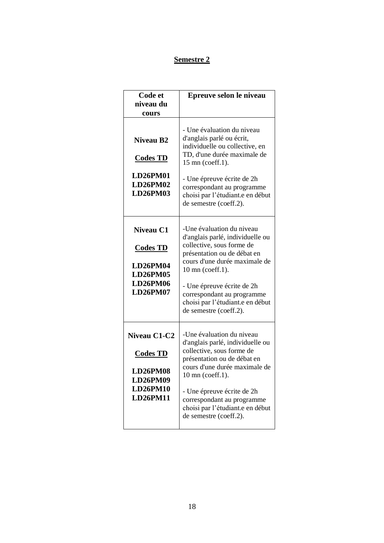#### **Semestre 2**

| Code et<br>niveau du<br>cours                                                                        | Epreuve selon le niveau                                                                                                                                                                                                                                                                                  |
|------------------------------------------------------------------------------------------------------|----------------------------------------------------------------------------------------------------------------------------------------------------------------------------------------------------------------------------------------------------------------------------------------------------------|
| <b>Niveau B2</b><br><b>Codes TD</b><br><b>LD26PM01</b><br>LD26PM02<br>LD26PM03                       | - Une évaluation du niveau<br>d'anglais parlé ou écrit,<br>individuelle ou collective, en<br>TD, d'une durée maximale de<br>15 mn (coeff.1).<br>- Une épreuve écrite de 2h<br>correspondant au programme<br>choisi par l'étudiant.e en début<br>de semestre (coeff.2).                                   |
| Niveau C1<br><b>Codes TD</b><br>LD26PM04<br><b>LD26PM05</b><br><b>LD26PM06</b><br><b>LD26PM07</b>    | -Une évaluation du niveau<br>d'anglais parlé, individuelle ou<br>collective, sous forme de<br>présentation ou de débat en<br>cours d'une durée maximale de<br>10 mn (coeff.1).<br>- Une épreuve écrite de 2h<br>correspondant au programme<br>choisi par l'étudiant.e en début<br>de semestre (coeff.2). |
| Niveau C1-C2<br><b>Codes TD</b><br><b>LD26PM08</b><br>LD26PM09<br><b>LD26PM10</b><br><b>LD26PM11</b> | -Une évaluation du niveau<br>d'anglais parlé, individuelle ou<br>collective, sous forme de<br>présentation ou de débat en<br>cours d'une durée maximale de<br>10 mn (coeff.1).<br>- Une épreuve écrite de 2h<br>correspondant au programme<br>choisi par l'étudiant.e en début<br>de semestre (coeff.2). |